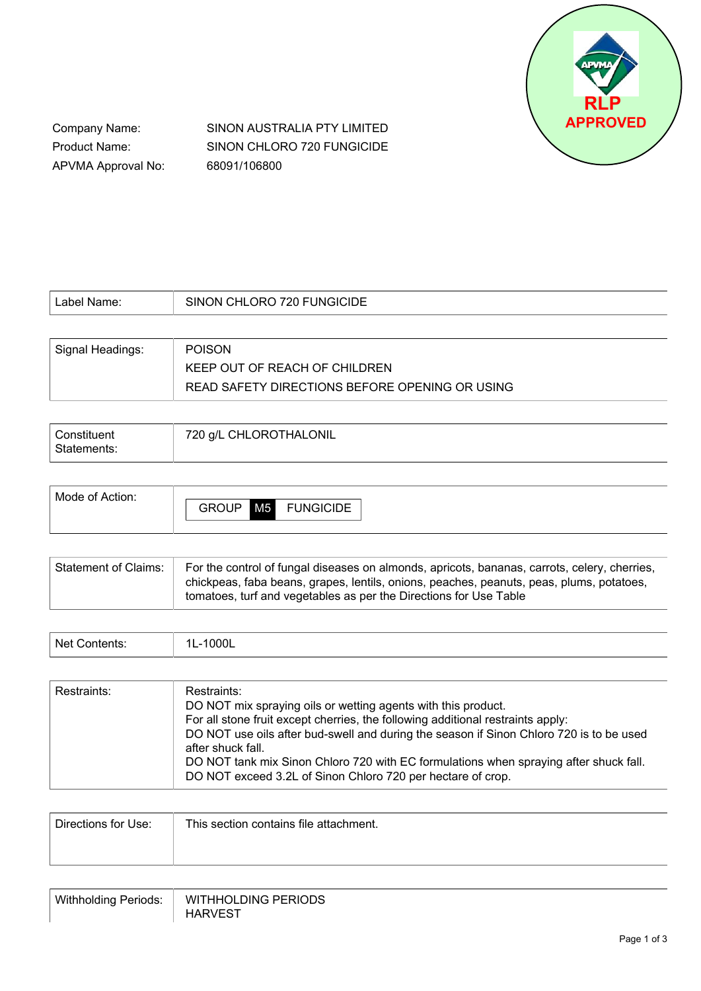

Company Name: Product Name: APVMA Approval No: SINON AUSTRALIA PTY LIMITED SINON CHLORO 720 FUNGICIDE 68091/106800

| Label Name:      | SINON CHLORO 720 FUNGICIDE                     |
|------------------|------------------------------------------------|
|                  |                                                |
| Signal Headings: | <b>POISON</b>                                  |
|                  | KEEP OUT OF REACH OF CHILDREN                  |
|                  | READ SAFETY DIRECTIONS BEFORE OPENING OR USING |

| Constituent | 720 g/L CHLOROTHALONIL |
|-------------|------------------------|
| Statements: |                        |

| Mode of Action: |              |                |                  |
|-----------------|--------------|----------------|------------------|
|                 | <b>GROUP</b> | M <sub>5</sub> | <b>FUNGICIDE</b> |
|                 |              |                |                  |

| <sup>1</sup> Statement of Claims: | For the control of fungal diseases on almonds, apricots, bananas, carrots, celery, cherries,<br>chickpeas, faba beans, grapes, lentils, onions, peaches, peanuts, peas, plums, potatoes, |
|-----------------------------------|------------------------------------------------------------------------------------------------------------------------------------------------------------------------------------------|
|                                   | tomatoes, turf and vegetables as per the Directions for Use Table                                                                                                                        |

| Net      | 000L |
|----------|------|
| ontents: | --   |

| Restraints: | Restraints:<br>DO NOT mix spraying oils or wetting agents with this product.<br>For all stone fruit except cherries, the following additional restraints apply:<br>DO NOT use oils after bud-swell and during the season if Sinon Chloro 720 is to be used<br>after shuck fall.<br>DO NOT tank mix Sinon Chloro 720 with EC formulations when spraying after shuck fall.<br>DO NOT exceed 3.2L of Sinon Chloro 720 per hectare of crop. |
|-------------|-----------------------------------------------------------------------------------------------------------------------------------------------------------------------------------------------------------------------------------------------------------------------------------------------------------------------------------------------------------------------------------------------------------------------------------------|
|-------------|-----------------------------------------------------------------------------------------------------------------------------------------------------------------------------------------------------------------------------------------------------------------------------------------------------------------------------------------------------------------------------------------------------------------------------------------|

| This section contains file attachment. |
|----------------------------------------|
|                                        |
|                                        |

| <b>Withholding Periods:</b> | <b>WITHHOLDING PERIODS</b> |
|-----------------------------|----------------------------|
|                             | <b>HARVEST</b>             |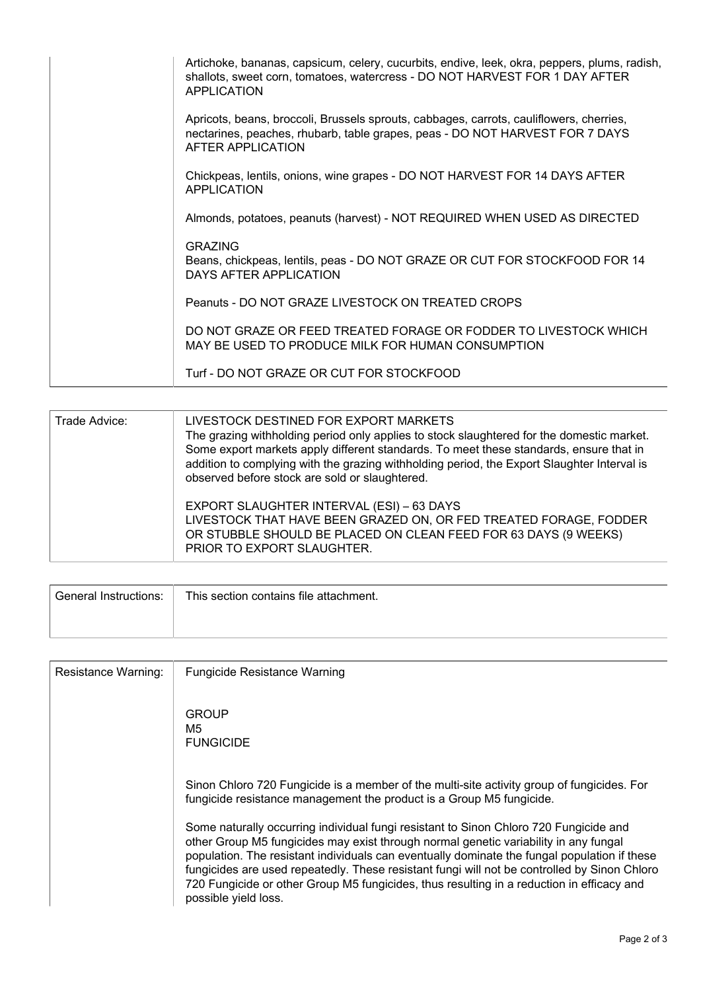| Artichoke, bananas, capsicum, celery, cucurbits, endive, leek, okra, peppers, plums, radish,<br>shallots, sweet corn, tomatoes, watercress - DO NOT HARVEST FOR 1 DAY AFTER<br><b>APPLICATION</b> |
|---------------------------------------------------------------------------------------------------------------------------------------------------------------------------------------------------|
| Apricots, beans, broccoli, Brussels sprouts, cabbages, carrots, cauliflowers, cherries,<br>nectarines, peaches, rhubarb, table grapes, peas - DO NOT HARVEST FOR 7 DAYS<br>AFTER APPLICATION      |
| Chickpeas, lentils, onions, wine grapes - DO NOT HARVEST FOR 14 DAYS AFTER<br><b>APPLICATION</b>                                                                                                  |
| Almonds, potatoes, peanuts (harvest) - NOT REQUIRED WHEN USED AS DIRECTED                                                                                                                         |
| <b>GRAZING</b><br>Beans, chickpeas, lentils, peas - DO NOT GRAZE OR CUT FOR STOCKFOOD FOR 14<br>DAYS AFTER APPLICATION                                                                            |
| Peanuts - DO NOT GRAZE LIVESTOCK ON TREATED CROPS                                                                                                                                                 |
| DO NOT GRAZE OR FEED TREATED FORAGE OR FODDER TO LIVESTOCK WHICH<br>MAY BE USED TO PRODUCE MILK FOR HUMAN CONSUMPTION                                                                             |
| Turf - DO NOT GRAZE OR CUT FOR STOCKFOOD                                                                                                                                                          |

| Trade Advice: | LIVESTOCK DESTINED FOR EXPORT MARKETS<br>The grazing withholding period only applies to stock slaughtered for the domestic market.<br>Some export markets apply different standards. To meet these standards, ensure that in<br>addition to complying with the grazing withholding period, the Export Slaughter Interval is<br>observed before stock are sold or slaughtered. |
|---------------|-------------------------------------------------------------------------------------------------------------------------------------------------------------------------------------------------------------------------------------------------------------------------------------------------------------------------------------------------------------------------------|
|               | EXPORT SLAUGHTER INTERVAL (ESI) - 63 DAYS<br>LIVESTOCK THAT HAVE BEEN GRAZED ON, OR FED TREATED FORAGE, FODDER<br>OR STUBBLE SHOULD BE PLACED ON CLEAN FEED FOR 63 DAYS (9 WEEKS)<br>PRIOR TO EXPORT SLAUGHTER.                                                                                                                                                               |

| General Instructions: | This section contains file attachment. |
|-----------------------|----------------------------------------|
|                       |                                        |

| Resistance Warning: | <b>Fungicide Resistance Warning</b>                                                                                                                                                                                                                                                                                                                                                                                                                                                                |
|---------------------|----------------------------------------------------------------------------------------------------------------------------------------------------------------------------------------------------------------------------------------------------------------------------------------------------------------------------------------------------------------------------------------------------------------------------------------------------------------------------------------------------|
|                     | <b>GROUP</b><br>M5<br><b>FUNGICIDE</b>                                                                                                                                                                                                                                                                                                                                                                                                                                                             |
|                     | Sinon Chloro 720 Fungicide is a member of the multi-site activity group of fungicides. For<br>fungicide resistance management the product is a Group M5 fungicide.                                                                                                                                                                                                                                                                                                                                 |
|                     | Some naturally occurring individual fungi resistant to Sinon Chloro 720 Fungicide and<br>other Group M5 fungicides may exist through normal genetic variability in any fungal<br>population. The resistant individuals can eventually dominate the fungal population if these<br>fungicides are used repeatedly. These resistant fungi will not be controlled by Sinon Chloro<br>720 Fungicide or other Group M5 fungicides, thus resulting in a reduction in efficacy and<br>possible yield loss. |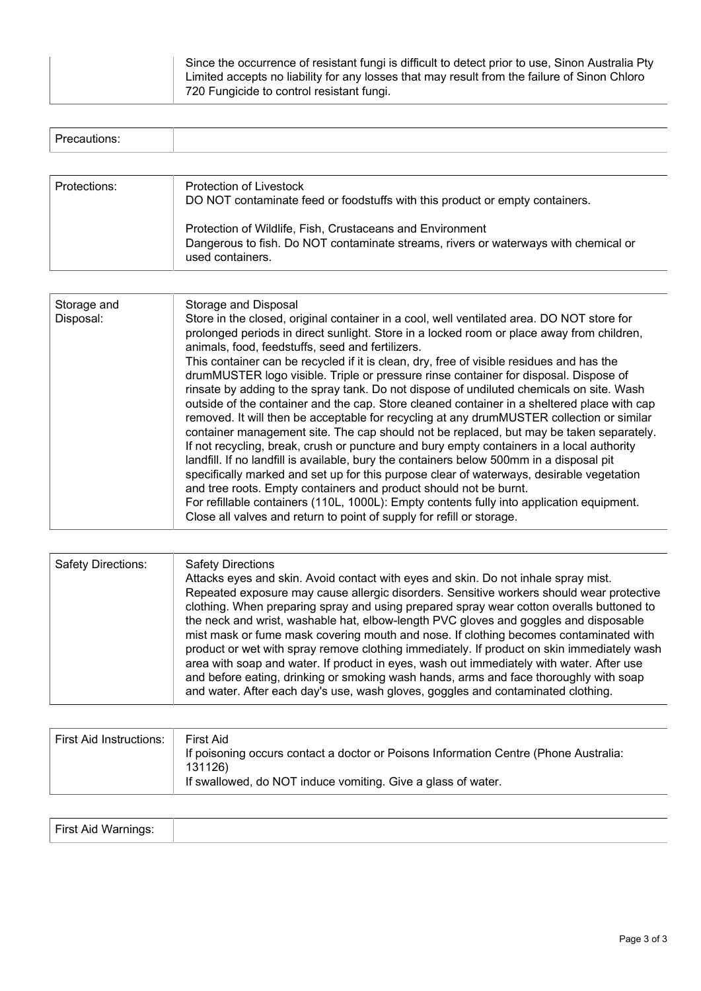| Since the occurrence of resistant fungi is difficult to detect prior to use, Sinon Australia Pty |
|--------------------------------------------------------------------------------------------------|
| Limited accepts no liability for any losses that may result from the failure of Sinon Chloro     |
| 720 Fungicide to control resistant fungi.                                                        |

| Precautions: |                                                                                                         |
|--------------|---------------------------------------------------------------------------------------------------------|
|              |                                                                                                         |
| Protections: | Protection of Livestock<br>DO NOT contaminate feed or foodstuffs with this product or empty containers. |

| Protection of Wildlife, Fish, Crustaceans and Environment<br>Dangerous to fish. Do NOT contaminate streams, rivers or waterways with chemical or |
|--------------------------------------------------------------------------------------------------------------------------------------------------|
| used containers.                                                                                                                                 |

| Storage and<br>Disposal: | Storage and Disposal<br>Store in the closed, original container in a cool, well ventilated area. DO NOT store for<br>prolonged periods in direct sunlight. Store in a locked room or place away from children,<br>animals, food, feedstuffs, seed and fertilizers.<br>This container can be recycled if it is clean, dry, free of visible residues and has the<br>drumMUSTER logo visible. Triple or pressure rinse container for disposal. Dispose of<br>rinsate by adding to the spray tank. Do not dispose of undiluted chemicals on site. Wash<br>outside of the container and the cap. Store cleaned container in a sheltered place with cap<br>removed. It will then be acceptable for recycling at any drumMUSTER collection or similar<br>container management site. The cap should not be replaced, but may be taken separately.<br>If not recycling, break, crush or puncture and bury empty containers in a local authority<br>landfill. If no landfill is available, bury the containers below 500mm in a disposal pit<br>specifically marked and set up for this purpose clear of waterways, desirable vegetation<br>and tree roots. Empty containers and product should not be burnt.<br>For refillable containers (110L, 1000L): Empty contents fully into application equipment.<br>Close all valves and return to point of supply for refill or storage. |
|--------------------------|---------------------------------------------------------------------------------------------------------------------------------------------------------------------------------------------------------------------------------------------------------------------------------------------------------------------------------------------------------------------------------------------------------------------------------------------------------------------------------------------------------------------------------------------------------------------------------------------------------------------------------------------------------------------------------------------------------------------------------------------------------------------------------------------------------------------------------------------------------------------------------------------------------------------------------------------------------------------------------------------------------------------------------------------------------------------------------------------------------------------------------------------------------------------------------------------------------------------------------------------------------------------------------------------------------------------------------------------------------------------------|

| <b>Safety Directions:</b> | <b>Safety Directions</b><br>Attacks eyes and skin. Avoid contact with eyes and skin. Do not inhale spray mist.<br>Repeated exposure may cause allergic disorders. Sensitive workers should wear protective<br>clothing. When preparing spray and using prepared spray wear cotton overalls buttoned to<br>the neck and wrist, washable hat, elbow-length PVC gloves and goggles and disposable<br>mist mask or fume mask covering mouth and nose. If clothing becomes contaminated with<br>product or wet with spray remove clothing immediately. If product on skin immediately wash<br>area with soap and water. If product in eyes, wash out immediately with water. After use<br>and before eating, drinking or smoking wash hands, arms and face thoroughly with soap<br>and water. After each day's use, wash gloves, goggles and contaminated clothing. |
|---------------------------|----------------------------------------------------------------------------------------------------------------------------------------------------------------------------------------------------------------------------------------------------------------------------------------------------------------------------------------------------------------------------------------------------------------------------------------------------------------------------------------------------------------------------------------------------------------------------------------------------------------------------------------------------------------------------------------------------------------------------------------------------------------------------------------------------------------------------------------------------------------|
|---------------------------|----------------------------------------------------------------------------------------------------------------------------------------------------------------------------------------------------------------------------------------------------------------------------------------------------------------------------------------------------------------------------------------------------------------------------------------------------------------------------------------------------------------------------------------------------------------------------------------------------------------------------------------------------------------------------------------------------------------------------------------------------------------------------------------------------------------------------------------------------------------|

| First Aid Instructions: | First Aid<br>If poisoning occurs contact a doctor or Poisons Information Centre (Phone Australia:<br>131126) |
|-------------------------|--------------------------------------------------------------------------------------------------------------|
|                         | If swallowed, do NOT induce vomiting. Give a glass of water.                                                 |

| First Aid Warnings: |  |
|---------------------|--|
|                     |  |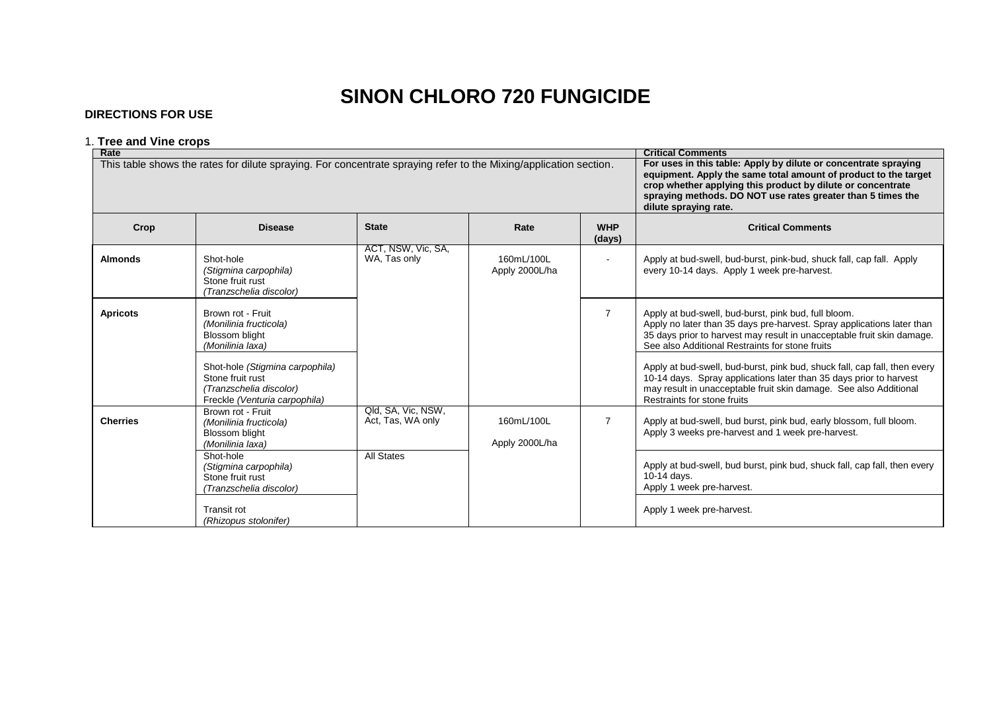# **SINON CHLORO 720 FUNGICIDE**

## **DIRECTIONS FOR USE**

# 1. **Tree and Vine crops**

| Rate            |                                                                                                                   | <b>Critical Comments</b>                                                                                                                                                                                                                                                                  |                              |                      |                                                                                                                                                                                                                                                             |
|-----------------|-------------------------------------------------------------------------------------------------------------------|-------------------------------------------------------------------------------------------------------------------------------------------------------------------------------------------------------------------------------------------------------------------------------------------|------------------------------|----------------------|-------------------------------------------------------------------------------------------------------------------------------------------------------------------------------------------------------------------------------------------------------------|
|                 | This table shows the rates for dilute spraying. For concentrate spraying refer to the Mixing/application section. | For uses in this table: Apply by dilute or concentrate spraying<br>equipment. Apply the same total amount of product to the target<br>crop whether applying this product by dilute or concentrate<br>spraying methods. DO NOT use rates greater than 5 times the<br>dilute spraying rate. |                              |                      |                                                                                                                                                                                                                                                             |
| Crop            | <b>Disease</b>                                                                                                    | <b>State</b>                                                                                                                                                                                                                                                                              | Rate                         | <b>WHP</b><br>(days) | <b>Critical Comments</b>                                                                                                                                                                                                                                    |
| <b>Almonds</b>  | Shot-hole<br>(Stigmina carpophila)<br>Stone fruit rust<br>(Tranzschelia discolor)                                 | ACT, NSW, Vic, SA,<br>WA, Tas only                                                                                                                                                                                                                                                        | 160mL/100L<br>Apply 2000L/ha |                      | Apply at bud-swell, bud-burst, pink-bud, shuck fall, cap fall. Apply<br>every 10-14 days. Apply 1 week pre-harvest.                                                                                                                                         |
| <b>Apricots</b> | Brown rot - Fruit<br>(Monilinia fructicola)<br><b>Blossom blight</b><br>(Monilinia laxa)                          |                                                                                                                                                                                                                                                                                           |                              | $\overline{7}$       | Apply at bud-swell, bud-burst, pink bud, full bloom.<br>Apply no later than 35 days pre-harvest. Spray applications later than<br>35 days prior to harvest may result in unacceptable fruit skin damage.<br>See also Additional Restraints for stone fruits |
|                 | Shot-hole (Stigmina carpophila)<br>Stone fruit rust<br>(Tranzschelia discolor)<br>Freckle (Venturia carpophila)   |                                                                                                                                                                                                                                                                                           |                              |                      | Apply at bud-swell, bud-burst, pink bud, shuck fall, cap fall, then every<br>10-14 days. Spray applications later than 35 days prior to harvest<br>may result in unacceptable fruit skin damage. See also Additional<br>Restraints for stone fruits         |
| <b>Cherries</b> | Brown rot - Fruit<br>(Monilinia fructicola)<br><b>Blossom blight</b><br>(Monilinia laxa)                          | Qld, SA, Vic, NSW,<br>Act, Tas, WA only                                                                                                                                                                                                                                                   | 160mL/100L<br>Apply 2000L/ha | $\overline{7}$       | Apply at bud-swell, bud burst, pink bud, early blossom, full bloom.<br>Apply 3 weeks pre-harvest and 1 week pre-harvest.                                                                                                                                    |
|                 | Shot-hole<br>(Stigmina carpophila)<br>Stone fruit rust<br>(Tranzschelia discolor)                                 | <b>All States</b>                                                                                                                                                                                                                                                                         |                              |                      | Apply at bud-swell, bud burst, pink bud, shuck fall, cap fall, then every<br>10-14 days.<br>Apply 1 week pre-harvest.                                                                                                                                       |
|                 | <b>Transit rot</b><br>(Rhizopus stolonifer)                                                                       |                                                                                                                                                                                                                                                                                           |                              |                      | Apply 1 week pre-harvest.                                                                                                                                                                                                                                   |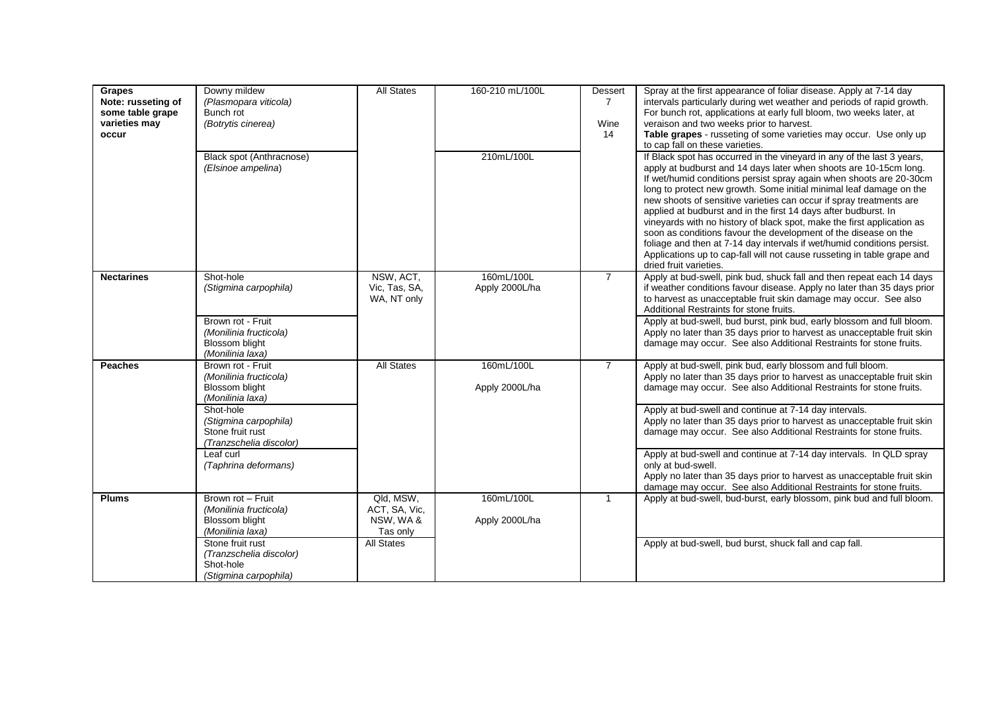| Grapes<br>Note: russeting of<br>some table grape<br>varieties may<br>occur | Downy mildew<br>(Plasmopara viticola)<br>Bunch rot<br>(Botrytis cinerea)                 | <b>All States</b>                                  | 160-210 mL/100L              | Dessert<br>$\overline{7}$<br>Wine<br>14 | Spray at the first appearance of foliar disease. Apply at 7-14 day<br>intervals particularly during wet weather and periods of rapid growth.<br>For bunch rot, applications at early full bloom, two weeks later, at<br>veraison and two weeks prior to harvest.<br>Table grapes - russeting of some varieties may occur. Use only up<br>to cap fall on these varieties.                                                                                                                                                                                                                                                                                                                                                                                         |
|----------------------------------------------------------------------------|------------------------------------------------------------------------------------------|----------------------------------------------------|------------------------------|-----------------------------------------|------------------------------------------------------------------------------------------------------------------------------------------------------------------------------------------------------------------------------------------------------------------------------------------------------------------------------------------------------------------------------------------------------------------------------------------------------------------------------------------------------------------------------------------------------------------------------------------------------------------------------------------------------------------------------------------------------------------------------------------------------------------|
|                                                                            | Black spot (Anthracnose)<br>(Elsinoe ampelina)                                           |                                                    | 210mL/100L                   |                                         | If Black spot has occurred in the vineyard in any of the last 3 years,<br>apply at budburst and 14 days later when shoots are 10-15cm long.<br>If wet/humid conditions persist spray again when shoots are 20-30cm<br>long to protect new growth. Some initial minimal leaf damage on the<br>new shoots of sensitive varieties can occur if spray treatments are<br>applied at budburst and in the first 14 days after budburst. In<br>vineyards with no history of black spot, make the first application as<br>soon as conditions favour the development of the disease on the<br>foliage and then at 7-14 day intervals if wet/humid conditions persist.<br>Applications up to cap-fall will not cause russeting in table grape and<br>dried fruit varieties. |
| <b>Nectarines</b>                                                          | Shot-hole<br>(Stigmina carpophila)                                                       | NSW, ACT,<br>Vic, Tas, SA,<br>WA, NT only          | 160mL/100L<br>Apply 2000L/ha | $\overline{7}$                          | Apply at bud-swell, pink bud, shuck fall and then repeat each 14 days<br>if weather conditions favour disease. Apply no later than 35 days prior<br>to harvest as unacceptable fruit skin damage may occur. See also<br>Additional Restraints for stone fruits.                                                                                                                                                                                                                                                                                                                                                                                                                                                                                                  |
|                                                                            | Brown rot - Fruit<br>(Monilinia fructicola)<br><b>Blossom blight</b><br>(Monilinia laxa) |                                                    |                              |                                         | Apply at bud-swell, bud burst, pink bud, early blossom and full bloom.<br>Apply no later than 35 days prior to harvest as unacceptable fruit skin<br>damage may occur. See also Additional Restraints for stone fruits.                                                                                                                                                                                                                                                                                                                                                                                                                                                                                                                                          |
| <b>Peaches</b>                                                             | Brown rot - Fruit<br>(Monilinia fructicola)<br><b>Blossom blight</b><br>(Monilinia laxa) | <b>All States</b>                                  | 160mL/100L<br>Apply 2000L/ha | $\overline{7}$                          | Apply at bud-swell, pink bud, early blossom and full bloom.<br>Apply no later than 35 days prior to harvest as unacceptable fruit skin<br>damage may occur. See also Additional Restraints for stone fruits.                                                                                                                                                                                                                                                                                                                                                                                                                                                                                                                                                     |
|                                                                            | Shot-hole<br>(Stigmina carpophila)<br>Stone fruit rust<br>(Tranzschelia discolor)        |                                                    |                              |                                         | Apply at bud-swell and continue at 7-14 day intervals.<br>Apply no later than 35 days prior to harvest as unacceptable fruit skin<br>damage may occur. See also Additional Restraints for stone fruits.                                                                                                                                                                                                                                                                                                                                                                                                                                                                                                                                                          |
|                                                                            | Leaf curl<br>(Taphrina deformans)                                                        |                                                    |                              |                                         | Apply at bud-swell and continue at 7-14 day intervals. In QLD spray<br>only at bud-swell.<br>Apply no later than 35 days prior to harvest as unacceptable fruit skin<br>damage may occur. See also Additional Restraints for stone fruits.                                                                                                                                                                                                                                                                                                                                                                                                                                                                                                                       |
| <b>Plums</b>                                                               | Brown rot - Fruit<br>(Monilinia fructicola)<br>Blossom blight<br>(Monilinia laxa)        | Qld. MSW.<br>ACT, SA, Vic,<br>NSW, WA&<br>Tas only | 160mL/100L<br>Apply 2000L/ha | $\mathbf{1}$                            | Apply at bud-swell, bud-burst, early blossom, pink bud and full bloom.                                                                                                                                                                                                                                                                                                                                                                                                                                                                                                                                                                                                                                                                                           |
|                                                                            | Stone fruit rust<br>(Tranzschelia discolor)<br>Shot-hole<br>(Stigmina carpophila)        | <b>All States</b>                                  |                              |                                         | Apply at bud-swell, bud burst, shuck fall and cap fall.                                                                                                                                                                                                                                                                                                                                                                                                                                                                                                                                                                                                                                                                                                          |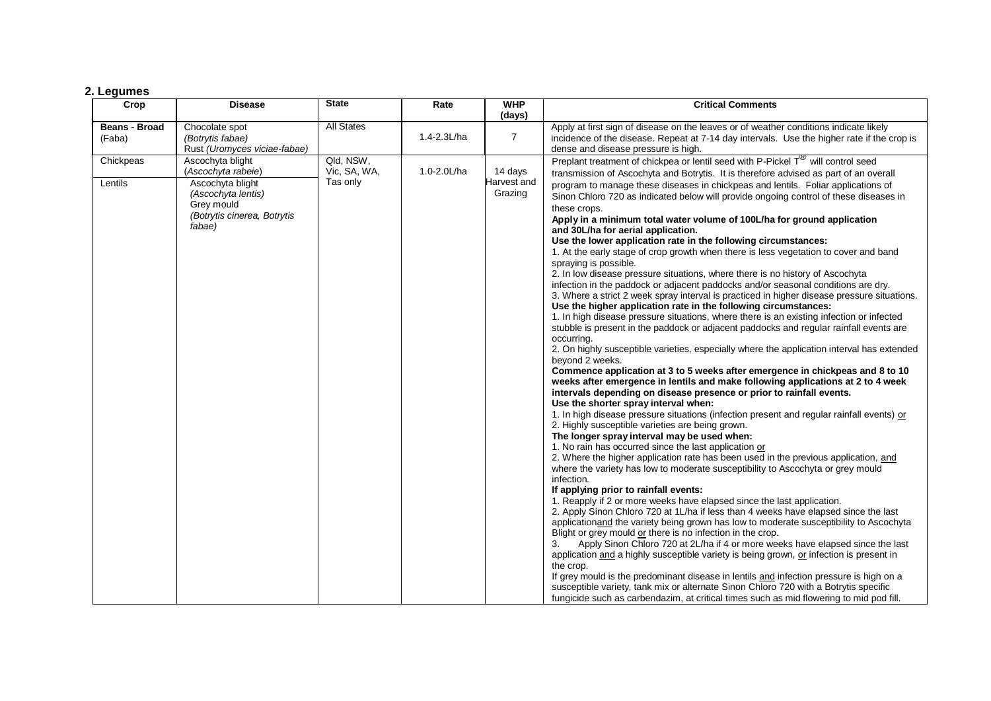#### **2. Legumes**

| Crop                           | <b>Disease</b>                                                     | <b>State</b>              | Rate        | <b>WHP</b>             | <b>Critical Comments</b>                                                                                                                                                                                                                                                   |
|--------------------------------|--------------------------------------------------------------------|---------------------------|-------------|------------------------|----------------------------------------------------------------------------------------------------------------------------------------------------------------------------------------------------------------------------------------------------------------------------|
|                                |                                                                    |                           |             | (days)                 |                                                                                                                                                                                                                                                                            |
| <b>Beans - Broad</b><br>(Faba) | Chocolate spot<br>(Botrytis fabae)<br>Rust (Uromyces viciae-fabae) | <b>All States</b>         | 1.4-2.3L/ha | $\overline{7}$         | Apply at first sign of disease on the leaves or of weather conditions indicate likely<br>incidence of the disease. Repeat at 7-14 day intervals. Use the higher rate if the crop is<br>dense and disease pressure is high.                                                 |
| Chickpeas                      | Ascochyta blight<br>(Ascochyta rabeie)                             | Qld, NSW,<br>Vic, SA, WA, | 1.0-2.0L/ha | 14 days                | Preplant treatment of chickpea or lentil seed with P-Pickel $T^{\prime\prime}$ will control seed<br>transmission of Ascochyta and Botrytis. It is therefore advised as part of an overall                                                                                  |
| Lentils                        | Ascochyta blight<br>(Ascochyta lentis)<br>Grey mould               | Tas only                  |             | Harvest and<br>Grazing | program to manage these diseases in chickpeas and lentils. Foliar applications of<br>Sinon Chloro 720 as indicated below will provide ongoing control of these diseases in                                                                                                 |
|                                | (Botrytis cinerea, Botrytis<br>fabae)                              |                           |             |                        | these crops.<br>Apply in a minimum total water volume of 100L/ha for ground application<br>and 30L/ha for aerial application.                                                                                                                                              |
|                                |                                                                    |                           |             |                        | Use the lower application rate in the following circumstances:<br>1. At the early stage of crop growth when there is less vegetation to cover and band                                                                                                                     |
|                                |                                                                    |                           |             |                        | spraying is possible.<br>2. In low disease pressure situations, where there is no history of Ascochyta<br>infection in the paddock or adjacent paddocks and/or seasonal conditions are dry.                                                                                |
|                                |                                                                    |                           |             |                        | 3. Where a strict 2 week spray interval is practiced in higher disease pressure situations.<br>Use the higher application rate in the following circumstances:                                                                                                             |
|                                |                                                                    |                           |             |                        | 1. In high disease pressure situations, where there is an existing infection or infected<br>stubble is present in the paddock or adjacent paddocks and regular rainfall events are<br>occurring.                                                                           |
|                                |                                                                    |                           |             |                        | 2. On highly susceptible varieties, especially where the application interval has extended<br>beyond 2 weeks.                                                                                                                                                              |
|                                |                                                                    |                           |             |                        | Commence application at 3 to 5 weeks after emergence in chickpeas and 8 to 10<br>weeks after emergence in lentils and make following applications at 2 to 4 week<br>intervals depending on disease presence or prior to rainfall events.                                   |
|                                |                                                                    |                           |             |                        | Use the shorter spray interval when:<br>1. In high disease pressure situations (infection present and regular rainfall events) or<br>2. Highly susceptible varieties are being grown.                                                                                      |
|                                |                                                                    |                           |             |                        | The longer spray interval may be used when:<br>1. No rain has occurred since the last application or                                                                                                                                                                       |
|                                |                                                                    |                           |             |                        | 2. Where the higher application rate has been used in the previous application, and<br>where the variety has low to moderate susceptibility to Ascochyta or grey mould                                                                                                     |
|                                |                                                                    |                           |             |                        | infection.<br>If applying prior to rainfall events:                                                                                                                                                                                                                        |
|                                |                                                                    |                           |             |                        | 1. Reapply if 2 or more weeks have elapsed since the last application.<br>2. Apply Sinon Chloro 720 at 1L/ha if less than 4 weeks have elapsed since the last<br>applicationand the variety being grown has low to moderate susceptibility to Ascochyta                    |
|                                |                                                                    |                           |             |                        | Blight or grey mould or there is no infection in the crop.<br>Apply Sinon Chloro 720 at 2L/ha if 4 or more weeks have elapsed since the last<br>3.                                                                                                                         |
|                                |                                                                    |                           |             |                        | application and a highly susceptible variety is being grown, or infection is present in<br>the crop.                                                                                                                                                                       |
|                                |                                                                    |                           |             |                        | If grey mould is the predominant disease in lentils and infection pressure is high on a<br>susceptible variety, tank mix or alternate Sinon Chloro 720 with a Botrytis specific<br>fungicide such as carbendazim, at critical times such as mid flowering to mid pod fill. |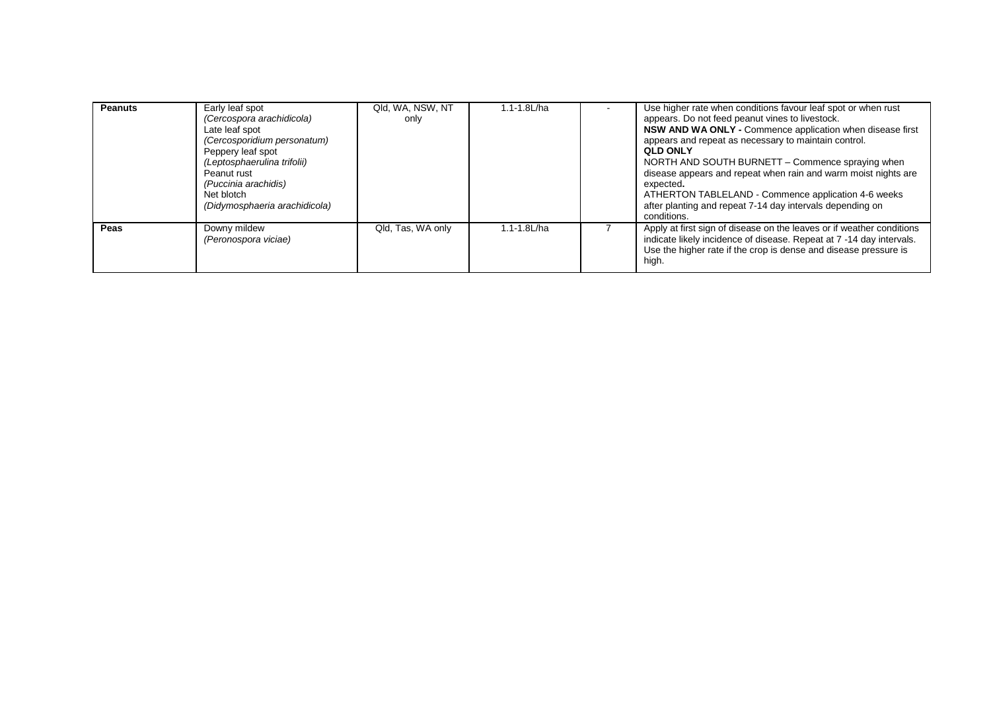| <b>Peanuts</b> | Early leaf spot<br>(Cercospora arachidicola)<br>Late leaf spot<br>(Cercosporidium personatum)<br>Peppery leaf spot<br>(Leptosphaerulina trifolii)<br>Peanut rust<br>(Puccinia arachidis)<br>Net blotch<br>(Didymosphaeria arachidicola) | Qld, WA, NSW, NT<br>only | 1.1-1.8L/ha | Use higher rate when conditions favour leaf spot or when rust<br>appears. Do not feed peanut vines to livestock.<br>NSW AND WA ONLY - Commence application when disease first<br>appears and repeat as necessary to maintain control.<br><b>QLD ONLY</b><br>NORTH AND SOUTH BURNETT – Commence spraying when<br>disease appears and repeat when rain and warm moist nights are<br>expected.<br>ATHERTON TABLELAND - Commence application 4-6 weeks<br>after planting and repeat 7-14 day intervals depending on<br>conditions. |
|----------------|-----------------------------------------------------------------------------------------------------------------------------------------------------------------------------------------------------------------------------------------|--------------------------|-------------|--------------------------------------------------------------------------------------------------------------------------------------------------------------------------------------------------------------------------------------------------------------------------------------------------------------------------------------------------------------------------------------------------------------------------------------------------------------------------------------------------------------------------------|
| Peas           | Downy mildew<br>(Peronospora viciae)                                                                                                                                                                                                    | Qld, Tas, WA only        | 1.1-1.8L/ha | Apply at first sign of disease on the leaves or if weather conditions<br>indicate likely incidence of disease. Repeat at 7 -14 day intervals.<br>Use the higher rate if the crop is dense and disease pressure is<br>high.                                                                                                                                                                                                                                                                                                     |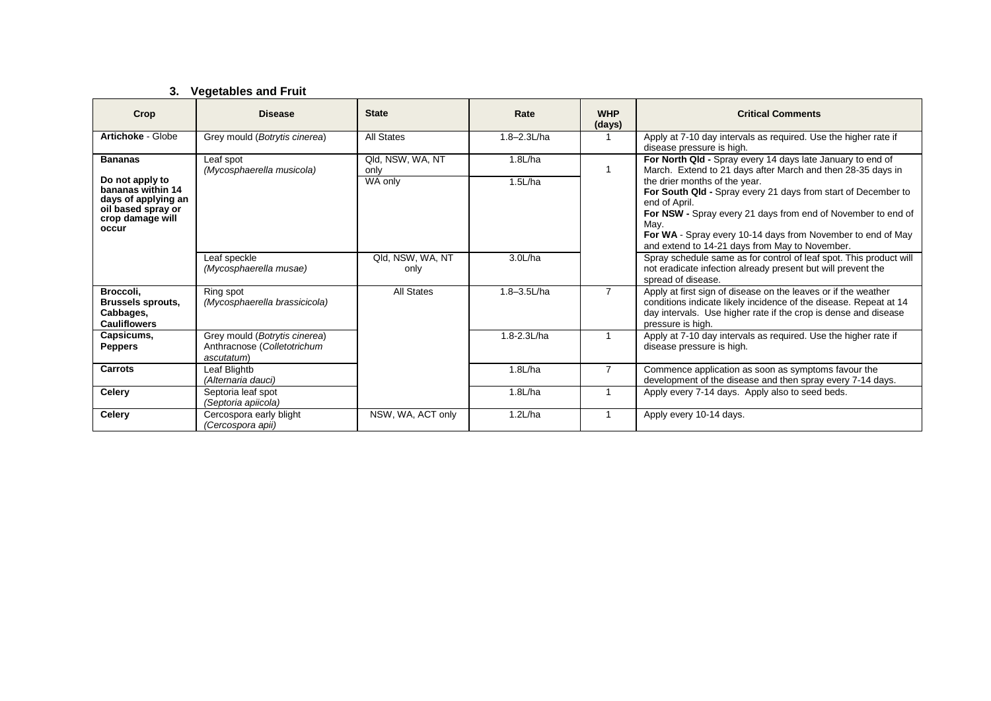# **3. Vegetables and Fruit**

| Crop                                                                                                                             | <b>Disease</b>                                                             | <b>State</b>                        | Rate               | <b>WHP</b><br>(days) | <b>Critical Comments</b>                                                                                                                                                                                                                                                                                                                                                                                                              |
|----------------------------------------------------------------------------------------------------------------------------------|----------------------------------------------------------------------------|-------------------------------------|--------------------|----------------------|---------------------------------------------------------------------------------------------------------------------------------------------------------------------------------------------------------------------------------------------------------------------------------------------------------------------------------------------------------------------------------------------------------------------------------------|
| Artichoke - Globe                                                                                                                | Grey mould (Botrytis cinerea)                                              | <b>All States</b>                   | $1.8 - 2.3$ L/ha   |                      | Apply at 7-10 day intervals as required. Use the higher rate if<br>disease pressure is high.                                                                                                                                                                                                                                                                                                                                          |
| <b>Bananas</b><br>Do not apply to<br>bananas within 14<br>days of applying an<br>oil based spray or<br>crop damage will<br>occur | Leaf spot<br>(Mycosphaerella musicola)                                     | Qld, NSW, WA, NT<br>only<br>WA only | 1.8L/ha<br>1.5L/ha |                      | For North Qld - Spray every 14 days late January to end of<br>March. Extend to 21 days after March and then 28-35 days in<br>the drier months of the year.<br>For South Qld - Spray every 21 days from start of December to<br>end of April.<br>For NSW - Spray every 21 days from end of November to end of<br>May.<br>For WA - Spray every 10-14 days from November to end of May<br>and extend to 14-21 days from May to November. |
|                                                                                                                                  | Leaf speckle<br>(Mycosphaerella musae)                                     | Qld, NSW, WA, NT<br>only            | 3.0L/ha            |                      | Spray schedule same as for control of leaf spot. This product will<br>not eradicate infection already present but will prevent the<br>spread of disease.                                                                                                                                                                                                                                                                              |
| Broccoli.<br><b>Brussels sprouts,</b><br>Cabbages,<br><b>Cauliflowers</b>                                                        | Ring spot<br>(Mycosphaerella brassicicola)                                 | <b>All States</b>                   | $1.8 - 3.5$ L/ha   | $\overline{7}$       | Apply at first sign of disease on the leaves or if the weather<br>conditions indicate likely incidence of the disease. Repeat at 14<br>day intervals. Use higher rate if the crop is dense and disease<br>pressure is high.                                                                                                                                                                                                           |
| Capsicums,<br><b>Peppers</b>                                                                                                     | Grey mould (Botrytis cinerea)<br>Anthracnose (Colletotrichum<br>ascutatum) |                                     | $1.8 - 2.3$ L/ha   |                      | Apply at 7-10 day intervals as required. Use the higher rate if<br>disease pressure is high.                                                                                                                                                                                                                                                                                                                                          |
| Carrots                                                                                                                          | Leaf Blightb<br>(Alternaria dauci)                                         |                                     | 1.8L/ha            | $\overline{7}$       | Commence application as soon as symptoms favour the<br>development of the disease and then spray every 7-14 days.                                                                                                                                                                                                                                                                                                                     |
| <b>Celery</b>                                                                                                                    | Septoria leaf spot<br>(Septoria apiicola)                                  |                                     | 1.8L/ha            |                      | Apply every 7-14 days. Apply also to seed beds.                                                                                                                                                                                                                                                                                                                                                                                       |
| Celery                                                                                                                           | Cercospora early blight<br>(Cercospora apii)                               | NSW, WA, ACT only                   | 1.2L/ha            |                      | Apply every 10-14 days.                                                                                                                                                                                                                                                                                                                                                                                                               |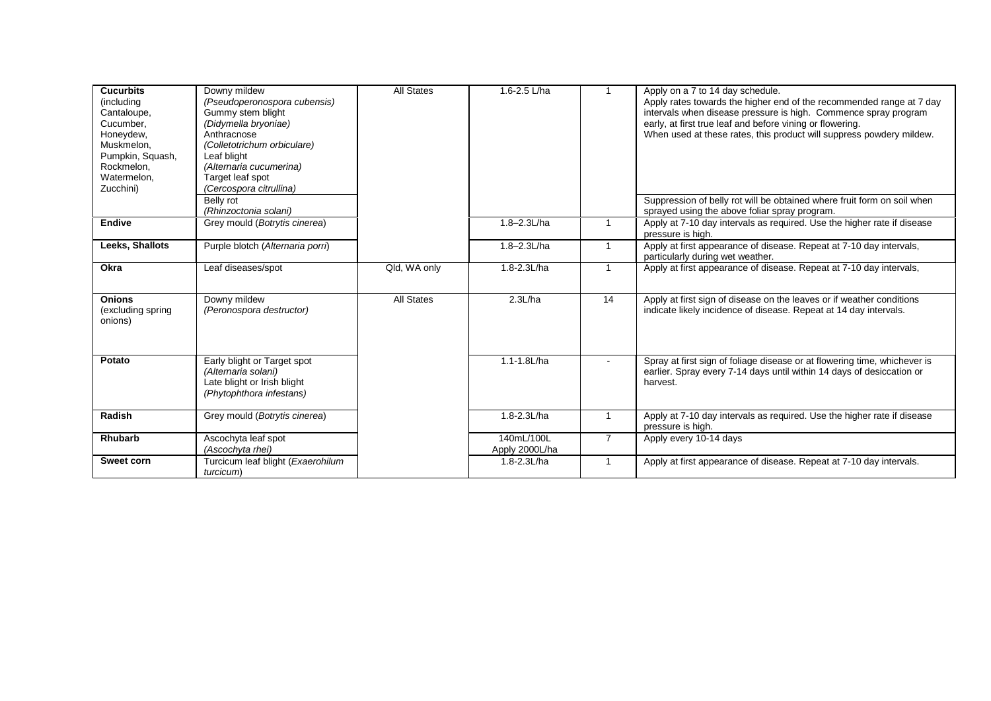| <b>Cucurbits</b><br>(including<br>Cantaloupe,<br>Cucumber,<br>Honeydew,<br>Muskmelon,<br>Pumpkin, Squash,<br>Rockmelon,<br>Watermelon,<br>Zucchini) | Downy mildew<br>(Pseudoperonospora cubensis)<br>Gummy stem blight<br>(Didymella bryoniae)<br>Anthracnose<br>(Colletotrichum orbiculare)<br>Leaf blight<br>(Alternaria cucumerina)<br>Target leaf spot<br>(Cercospora citrullina)<br>Belly rot | <b>All States</b> | 1.6-2.5 L/ha                 |                | Apply on a 7 to 14 day schedule.<br>Apply rates towards the higher end of the recommended range at 7 day<br>intervals when disease pressure is high. Commence spray program<br>early, at first true leaf and before vining or flowering.<br>When used at these rates, this product will suppress powdery mildew.<br>Suppression of belly rot will be obtained where fruit form on soil when |
|-----------------------------------------------------------------------------------------------------------------------------------------------------|-----------------------------------------------------------------------------------------------------------------------------------------------------------------------------------------------------------------------------------------------|-------------------|------------------------------|----------------|---------------------------------------------------------------------------------------------------------------------------------------------------------------------------------------------------------------------------------------------------------------------------------------------------------------------------------------------------------------------------------------------|
|                                                                                                                                                     | (Rhinzoctonia solani)                                                                                                                                                                                                                         |                   |                              |                | sprayed using the above foliar spray program.                                                                                                                                                                                                                                                                                                                                               |
| <b>Endive</b>                                                                                                                                       | Grey mould (Botrytis cinerea)                                                                                                                                                                                                                 |                   | 1.8-2.3L/ha                  | $\mathbf{1}$   | Apply at 7-10 day intervals as required. Use the higher rate if disease<br>pressure is high.                                                                                                                                                                                                                                                                                                |
| Leeks, Shallots                                                                                                                                     | Purple blotch (Alternaria porri)                                                                                                                                                                                                              |                   | $1.8 - 2.3$ L/ha             | $\mathbf{1}$   | Apply at first appearance of disease. Repeat at 7-10 day intervals,<br>particularly during wet weather.                                                                                                                                                                                                                                                                                     |
| Okra                                                                                                                                                | Leaf diseases/spot                                                                                                                                                                                                                            | Qld, WA only      | 1.8-2.3L/ha                  |                | Apply at first appearance of disease. Repeat at 7-10 day intervals,                                                                                                                                                                                                                                                                                                                         |
| <b>Onions</b><br>(excluding spring<br>onions)                                                                                                       | Downy mildew<br>(Peronospora destructor)                                                                                                                                                                                                      | <b>All States</b> | 2.3L/ha                      | 14             | Apply at first sign of disease on the leaves or if weather conditions<br>indicate likely incidence of disease. Repeat at 14 day intervals.                                                                                                                                                                                                                                                  |
| Potato                                                                                                                                              | Early blight or Target spot<br>(Alternaria solani)<br>Late blight or Irish blight<br>(Phytophthora infestans)                                                                                                                                 |                   | 1.1-1.8L/ha                  | $\blacksquare$ | Spray at first sign of foliage disease or at flowering time, whichever is<br>earlier. Spray every 7-14 days until within 14 days of desiccation or<br>harvest.                                                                                                                                                                                                                              |
| Radish                                                                                                                                              | Grey mould (Botrytis cinerea)                                                                                                                                                                                                                 |                   | 1.8-2.3L/ha                  |                | Apply at 7-10 day intervals as required. Use the higher rate if disease<br>pressure is high.                                                                                                                                                                                                                                                                                                |
| <b>Rhubarb</b>                                                                                                                                      | Ascochyta leaf spot<br>(Ascochyta rhei)                                                                                                                                                                                                       |                   | 140mL/100L<br>Apply 2000L/ha | $\overline{7}$ | Apply every 10-14 days                                                                                                                                                                                                                                                                                                                                                                      |
| Sweet corn                                                                                                                                          | Turcicum leaf blight (Exaerohilum<br>turcicum)                                                                                                                                                                                                |                   | 1.8-2.3L/ha                  | $\overline{1}$ | Apply at first appearance of disease. Repeat at 7-10 day intervals.                                                                                                                                                                                                                                                                                                                         |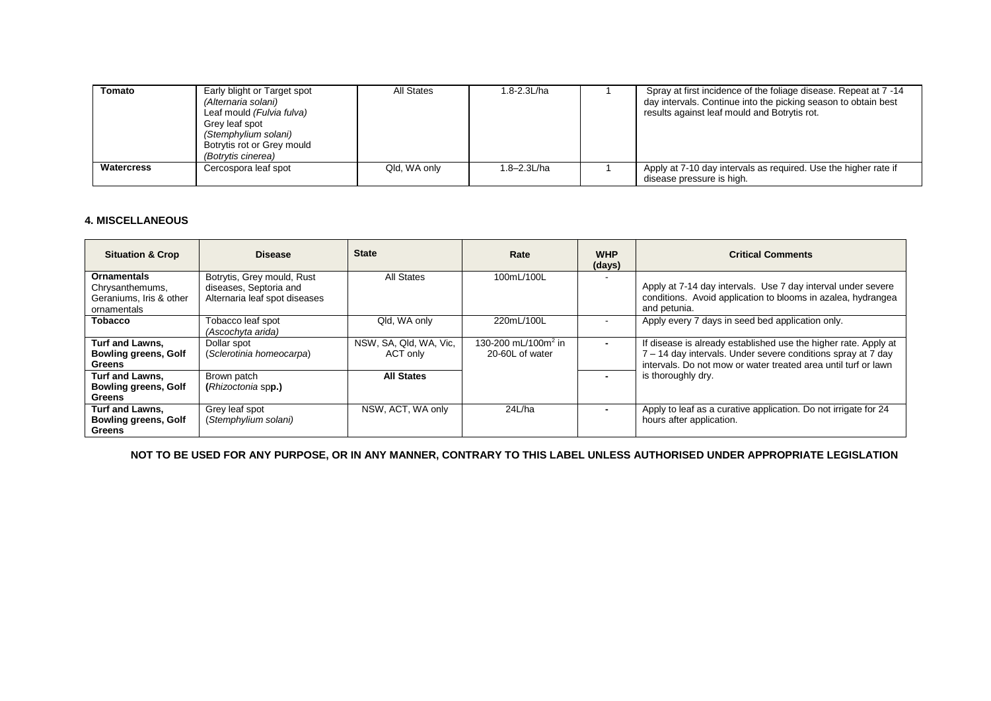| Tomato            | Early blight or Target spot<br>(Alternaria solani)<br>Leaf mould (Fulvia fulva)<br>Grev leaf spot<br>(Stemphylium solani)<br>Botrytis rot or Grey mould<br>(Botrytis cinerea) | All States   | .8-2.3L/ha       | Spray at first incidence of the foliage disease. Repeat at 7 -14<br>day intervals. Continue into the picking season to obtain best<br>results against leaf mould and Botrytis rot. |
|-------------------|-------------------------------------------------------------------------------------------------------------------------------------------------------------------------------|--------------|------------------|------------------------------------------------------------------------------------------------------------------------------------------------------------------------------------|
| <b>Watercress</b> | Cercospora leaf spot                                                                                                                                                          | Qld. WA only | $1.8 - 2.3$ L/ha | Apply at 7-10 day intervals as required. Use the higher rate if<br>disease pressure is high.                                                                                       |

### **4. MISCELLANEOUS**

| <b>Situation &amp; Crop</b>                                                     | <b>Disease</b>                                                                        | <b>State</b>                       | Rate                                               | <b>WHP</b><br>(days)     | <b>Critical Comments</b>                                                                                                                                                                          |
|---------------------------------------------------------------------------------|---------------------------------------------------------------------------------------|------------------------------------|----------------------------------------------------|--------------------------|---------------------------------------------------------------------------------------------------------------------------------------------------------------------------------------------------|
| <b>Ornamentals</b><br>Chrysanthemums,<br>Geraniums, Iris & other<br>ornamentals | Botrytis, Grey mould, Rust<br>diseases, Septoria and<br>Alternaria leaf spot diseases | All States                         | 100mL/100L                                         | $\overline{\phantom{a}}$ | Apply at 7-14 day intervals. Use 7 day interval under severe<br>conditions. Avoid application to blooms in azalea, hydrangea<br>and petunia.                                                      |
| <b>Tobacco</b>                                                                  | Tobacco leaf spot<br>(Ascochyta arida)                                                | Qld, WA only                       | 220mL/100L                                         | $\overline{\phantom{a}}$ | Apply every 7 days in seed bed application only.                                                                                                                                                  |
| <b>Turf and Lawns.</b><br><b>Bowling greens, Golf</b><br><b>Greens</b>          | Dollar spot<br>(Sclerotinia homeocarpa)                                               | NSW, SA, Qld, WA, Vic,<br>ACT only | 130-200 mL/100m <sup>2</sup> in<br>20-60L of water | $\blacksquare$           | If disease is already established use the higher rate. Apply at<br>7 - 14 day intervals. Under severe conditions spray at 7 day<br>intervals. Do not mow or water treated area until turf or lawn |
| <b>Turf and Lawns.</b><br><b>Bowling greens, Golf</b><br><b>Greens</b>          | Brown patch<br>(Rhizoctonia spp.)                                                     | <b>All States</b>                  |                                                    | $\blacksquare$           | is thoroughly dry.                                                                                                                                                                                |
| Turf and Lawns,<br><b>Bowling greens, Golf</b><br>Greens                        | Grey leaf spot<br>(Stemphylium solani)                                                | NSW, ACT, WA only                  | 24L/ha                                             | $\blacksquare$           | Apply to leaf as a curative application. Do not irrigate for 24<br>hours after application.                                                                                                       |

**NOT TO BE USED FOR ANY PURPOSE, OR IN ANY MANNER, CONTRARY TO THIS LABEL UNLESS AUTHORISED UNDER APPROPRIATE LEGISLATION**